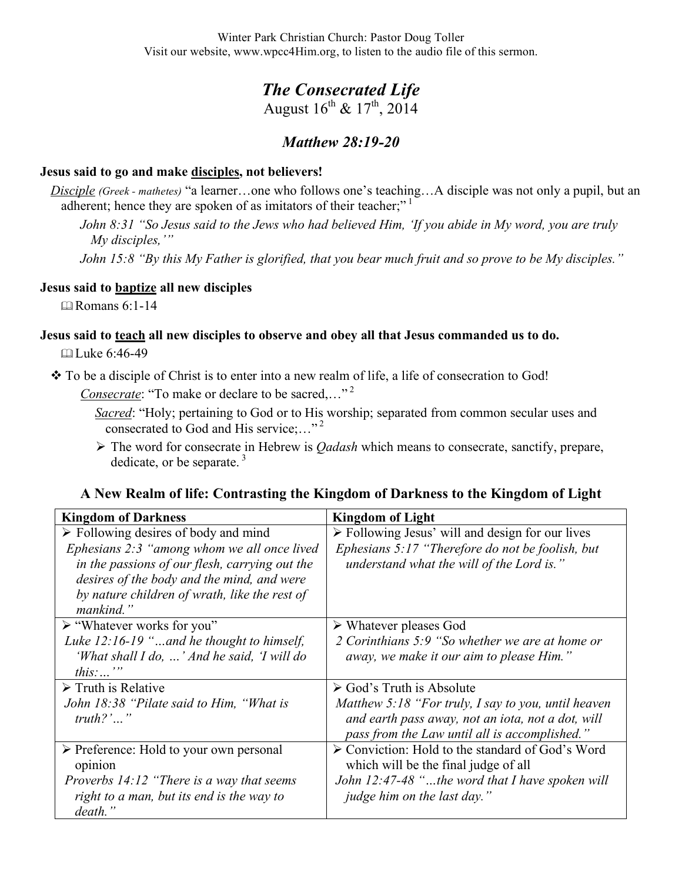Winter Park Christian Church: Pastor Doug Toller Visit our website, www.wpcc4Him.org, to listen to the audio file of this sermon.

# *The Consecrated Life*

August  $16^{th}$  &  $17^{th}$ , 2014

## *Matthew 28:19-20*

### **Jesus said to go and make disciples, not believers!**

*Disciple (Greek - mathetes)* "a learner…one who follows one's teaching…A disciple was not only a pupil, but an adherent; hence they are spoken of as imitators of their teacher;"<sup>1</sup>

*John 8:31 "So Jesus said to the Jews who had believed Him, 'If you abide in My word, you are truly My disciples,'"*

*John 15:8 "By this My Father is glorified, that you bear much fruit and so prove to be My disciples."*

### **Jesus said to baptize all new disciples**

**Expanding Romans 6:1-14** 

# **Jesus said to teach all new disciples to observe and obey all that Jesus commanded us to do.**

 $\Box$  Luke 6:46-49

To be a disciple of Christ is to enter into a new realm of life, a life of consecration to God!

*Consecrate*: "To make or declare to be sacred,…" 2

*Sacred*: "Holy; pertaining to God or to His worship; separated from common secular uses and consecrated to God and His service;…" 2

 The word for consecrate in Hebrew is *Qadash* which means to consecrate, sanctify, prepare, dedicate, or be separate. $3$ 

#### **A New Realm of life: Contrasting the Kingdom of Darkness to the Kingdom of Light**

| <b>Kingdom of Darkness</b>                             | <b>Kingdom of Light</b>                                         |
|--------------------------------------------------------|-----------------------------------------------------------------|
| $\triangleright$ Following desires of body and mind    | $\triangleright$ Following Jesus' will and design for our lives |
| Ephesians 2:3 "among whom we all once lived            | Ephesians 5:17 "Therefore do not be foolish, but                |
| in the passions of our flesh, carrying out the         | understand what the will of the Lord is."                       |
| desires of the body and the mind, and were             |                                                                 |
| by nature children of wrath, like the rest of          |                                                                 |
| mankind."                                              |                                                                 |
| $\triangleright$ "Whatever works for you"              | $\triangleright$ Whatever pleases God                           |
| Luke $12:16-19$ "and he thought to himself,            | 2 Corinthians 5:9 "So whether we are at home or                 |
| 'What shall I do, ' And he said, 'I will do            | away, we make it our aim to please Him."                        |
| <i>this</i> : $\cdots$                                 |                                                                 |
| $\triangleright$ Truth is Relative                     | $\triangleright$ God's Truth is Absolute                        |
| John 18:38 "Pilate said to Him, "What is               | Matthew 5:18 "For truly, I say to you, until heaven             |
| $truth?$ '''                                           | and earth pass away, not an iota, not a dot, will               |
|                                                        | pass from the Law until all is accomplished."                   |
| $\triangleright$ Preference: Hold to your own personal | $\triangleright$ Conviction: Hold to the standard of God's Word |
| opinion                                                | which will be the final judge of all                            |
| <i>Proverbs 14:12 "There is a way that seems</i>       | John 12:47-48 "the word that I have spoken will                 |
| right to a man, but its end is the way to              | <i>judge him on the last day.</i> "                             |
| death."                                                |                                                                 |